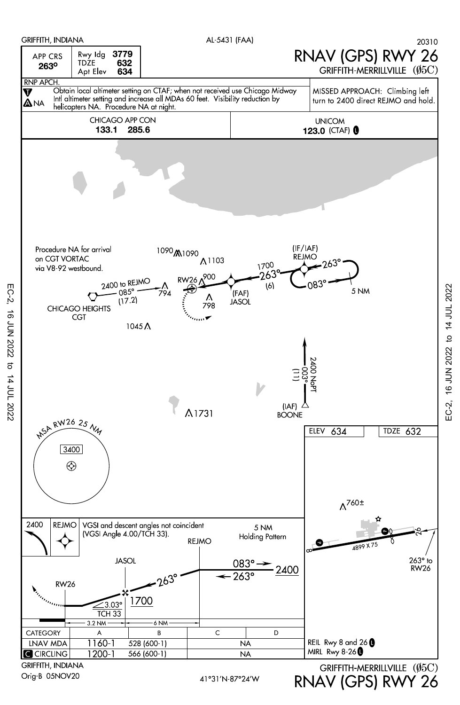

EC-2, 16 JUN 2022 to 14 JUL 2022

16 JUN 2022 to 14 JUL 2022

 $EC-2$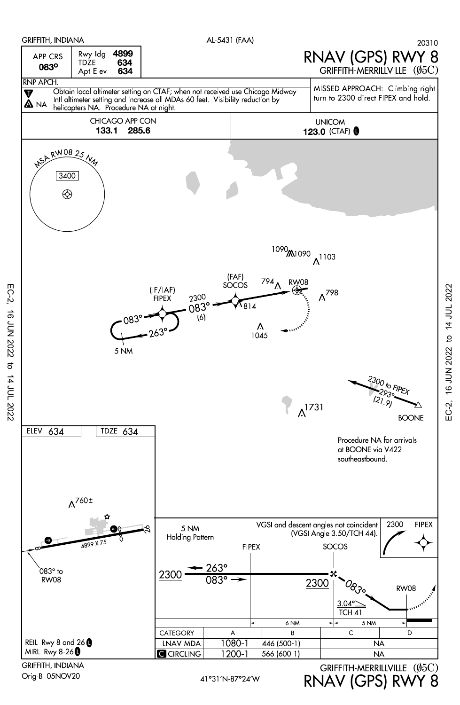

16 JUN 2022 to 14 JUL 2022 EC-2, 16 JUN 2022 to 14 JUL 2022EC-2,

Orig-B 05NOV20

EC-2, 16 JUN 2022 to 14 JUL 2022

16 JUN 2022 to 14 JUL 2022

 $EC-2$